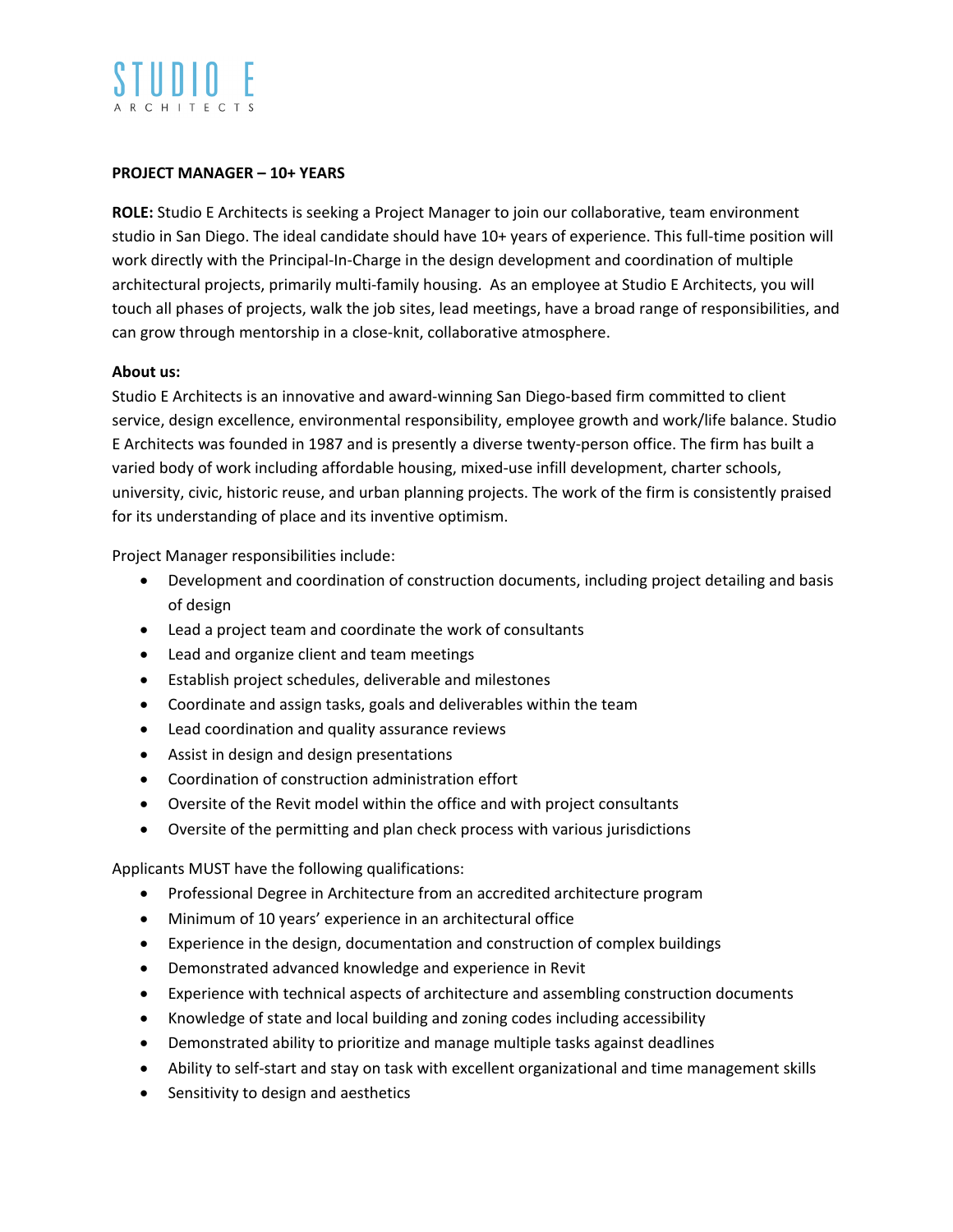## **PROJECT MANAGER – 10+ YEARS**

**ROLE:** Studio E Architects is seeking a Project Manager to join our collaborative, team environment studio in San Diego. The ideal candidate should have 10+ years of experience. This full-time position will work directly with the Principal-In-Charge in the design development and coordination of multiple architectural projects, primarily multi-family housing. As an employee at Studio E Architects, you will touch all phases of projects, walk the job sites, lead meetings, have a broad range of responsibilities, and can grow through mentorship in a close-knit, collaborative atmosphere.

## **About us:**

Studio E Architects is an innovative and award-winning San Diego-based firm committed to client service, design excellence, environmental responsibility, employee growth and work/life balance. Studio E Architects was founded in 1987 and is presently a diverse twenty-person office. The firm has built a varied body of work including affordable housing, mixed-use infill development, charter schools, university, civic, historic reuse, and urban planning projects. The work of the firm is consistently praised for its understanding of place and its inventive optimism.

Project Manager responsibilities include:

- Development and coordination of construction documents, including project detailing and basis of design
- Lead a project team and coordinate the work of consultants
- Lead and organize client and team meetings
- Establish project schedules, deliverable and milestones
- Coordinate and assign tasks, goals and deliverables within the team
- Lead coordination and quality assurance reviews
- Assist in design and design presentations
- Coordination of construction administration effort
- Oversite of the Revit model within the office and with project consultants
- Oversite of the permitting and plan check process with various jurisdictions

Applicants MUST have the following qualifications:

- Professional Degree in Architecture from an accredited architecture program
- Minimum of 10 years' experience in an architectural office
- Experience in the design, documentation and construction of complex buildings
- Demonstrated advanced knowledge and experience in Revit
- Experience with technical aspects of architecture and assembling construction documents
- Knowledge of state and local building and zoning codes including accessibility
- Demonstrated ability to prioritize and manage multiple tasks against deadlines
- Ability to self-start and stay on task with excellent organizational and time management skills
- Sensitivity to design and aesthetics